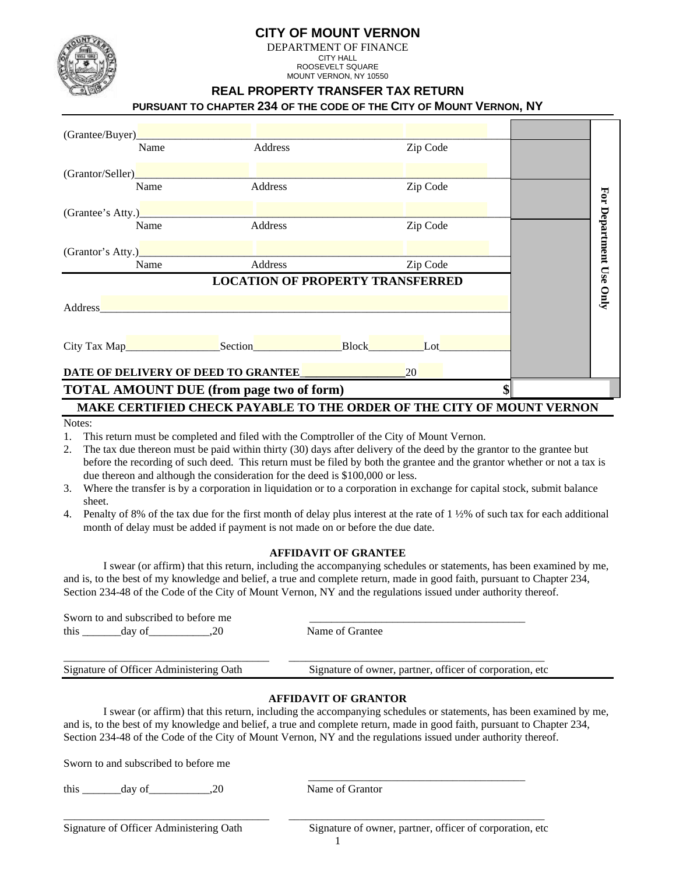



#### DEPARTMENT OF FINANCE CITY HALL ROOSEVELT SQUARE

MOUNT VERNON, NY 10550

## **REAL PROPERTY TRANSFER TAX RETURN**

## **PURSUANT TO CHAPTER 234 OF THE CODE OF THE CITY OF MOUNT VERNON, NY**

| (Grantee/Buyer)_                                                      |                                       |                                         |  |           |  |  |                         |  |
|-----------------------------------------------------------------------|---------------------------------------|-----------------------------------------|--|-----------|--|--|-------------------------|--|
|                                                                       | Name                                  | Address                                 |  | Zip Code  |  |  |                         |  |
| (Grantor/Seller)                                                      |                                       |                                         |  |           |  |  |                         |  |
|                                                                       | Name                                  | <b>Address</b>                          |  | Zip Code  |  |  |                         |  |
| (Grantee's Atty.)                                                     |                                       |                                         |  |           |  |  |                         |  |
|                                                                       | Name                                  | Address                                 |  | Zip Code  |  |  |                         |  |
|                                                                       |                                       |                                         |  |           |  |  | For Department Use Only |  |
|                                                                       | Name                                  | Address                                 |  | Zip Code  |  |  |                         |  |
|                                                                       |                                       | <b>LOCATION OF PROPERTY TRANSFERRED</b> |  |           |  |  |                         |  |
| Address                                                               |                                       |                                         |  |           |  |  |                         |  |
|                                                                       |                                       |                                         |  |           |  |  |                         |  |
|                                                                       | City Tax Map <u> City Tax Map Lot</u> |                                         |  |           |  |  |                         |  |
|                                                                       | DATE OF DELIVERY OF DEED TO GRANTEE   |                                         |  | <b>20</b> |  |  |                         |  |
| <b>TOTAL AMOUNT DUE (from page two of form)</b><br>\$                 |                                       |                                         |  |           |  |  |                         |  |
| MAKE CERTIFIED CHECK PAYABLE TO THE ORDER OF THE CITY OF MOUNT VERNON |                                       |                                         |  |           |  |  |                         |  |

#### Notes:

1. This return must be completed and filed with the Comptroller of the City of Mount Vernon.

- 2. The tax due thereon must be paid within thirty (30) days after delivery of the deed by the grantor to the grantee but before the recording of such deed. This return must be filed by both the grantee and the grantor whether or not a tax is due thereon and although the consideration for the deed is \$100,000 or less.
- 3. Where the transfer is by a corporation in liquidation or to a corporation in exchange for capital stock, submit balance sheet.
- 4. Penalty of 8% of the tax due for the first month of delay plus interest at the rate of  $1\frac{1}{2}\%$  of such tax for each additional month of delay must be added if payment is not made on or before the due date.

### **AFFIDAVIT OF GRANTEE**

I swear (or affirm) that this return, including the accompanying schedules or statements, has been examined by me, and is, to the best of my knowledge and belief, a true and complete return, made in good faith, pursuant to Chapter 234, Section 234-48 of the Code of the City of Mount Vernon, NY and the regulations issued under authority thereof.

| Sworn to and subscribed to before me    |                                                           |
|-----------------------------------------|-----------------------------------------------------------|
| this<br>day of                          | Name of Grantee                                           |
| Signature of Officer Administering Oath | Signature of owner, partner, officer of corporation, etc. |

### **AFFIDAVIT OF GRANTOR**

I swear (or affirm) that this return, including the accompanying schedules or statements, has been examined by me, and is, to the best of my knowledge and belief, a true and complete return, made in good faith, pursuant to Chapter 234, Section 234-48 of the Code of the City of Mount Vernon, NY and the regulations issued under authority thereof.

Sworn to and subscribed to before me

 $\frac{1}{2}$  ,  $\frac{1}{2}$  ,  $\frac{1}{2}$  ,  $\frac{1}{2}$  ,  $\frac{1}{2}$  ,  $\frac{1}{2}$  ,  $\frac{1}{2}$  ,  $\frac{1}{2}$  ,  $\frac{1}{2}$  ,  $\frac{1}{2}$  ,  $\frac{1}{2}$  ,  $\frac{1}{2}$  ,  $\frac{1}{2}$  ,  $\frac{1}{2}$  ,  $\frac{1}{2}$  ,  $\frac{1}{2}$  ,  $\frac{1}{2}$  ,  $\frac{1}{2}$  ,  $\frac{1$ this day of 20 Name of Grantor

Signature of owner, partner, officer of corporation, etc

1

\_\_\_\_\_\_\_\_\_\_\_\_\_\_\_\_\_\_\_\_\_\_\_\_\_\_\_\_\_\_\_\_\_\_\_\_\_ \_\_\_\_\_\_\_\_\_\_\_\_\_\_\_\_\_\_\_\_\_\_\_\_\_\_\_\_\_\_\_\_\_\_\_\_\_\_\_\_\_\_\_\_\_\_